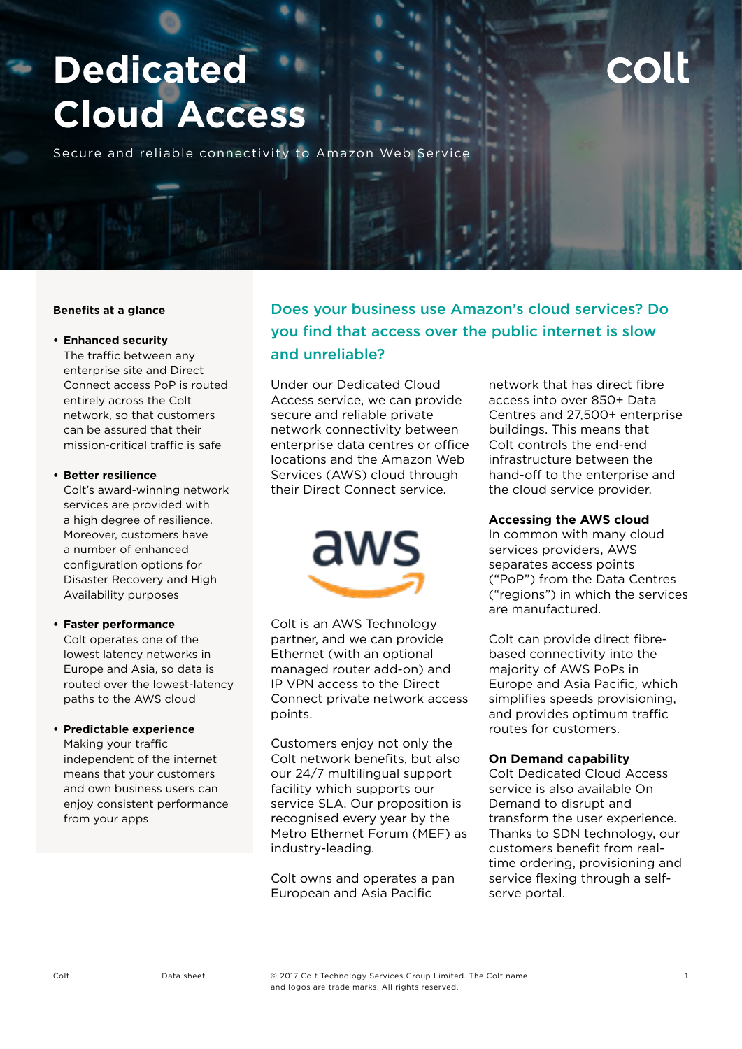# **Dedicated Cloud Access**

Secure and reliable connectivity to Amazon Web Service

#### **Benefits at a glance**

## **• Enhanced security**

The traffic between any enterprise site and Direct Connect access PoP is routed entirely across the Colt network, so that customers can be assured that their mission-critical traffic is safe

#### **• Better resilience**

Colt's award-winning network services are provided with a high degree of resilience. Moreover, customers have a number of enhanced configuration options for Disaster Recovery and High Availability purposes

#### **• Faster performance**

Colt operates one of the lowest latency networks in Europe and Asia, so data is routed over the lowest-latency paths to the AWS cloud

#### **• Predictable experience**

Making your traffic independent of the internet means that your customers and own business users can enjoy consistent performance from your apps

# Does your business use Amazon's cloud services? Do you find that access over the public internet is slow and unreliable?

Under our Dedicated Cloud Access service, we can provide secure and reliable private network connectivity between enterprise data centres or office locations and the Amazon Web Services (AWS) cloud through their Direct Connect service.



Colt is an AWS Technology partner, and we can provide Ethernet (with an optional managed router add-on) and IP VPN access to the Direct Connect private network access points.

Customers enjoy not only the Colt network benefits, but also our 24/7 multilingual support facility which supports our service SLA. Our proposition is recognised every year by the Metro Ethernet Forum (MEF) as industry-leading.

Colt owns and operates a pan European and Asia Pacific

network that has direct fibre access into over 850+ Data Centres and 27,500+ enterprise buildings. This means that Colt controls the end-end infrastructure between the hand-off to the enterprise and the cloud service provider.

#### **Accessing the AWS cloud**

In common with many cloud services providers, AWS separates access points ("PoP") from the Data Centres ("regions") in which the services are manufactured.

Colt can provide direct fibrebased connectivity into the majority of AWS PoPs in Europe and Asia Pacific, which simplifies speeds provisioning, and provides optimum traffic routes for customers.

#### **On Demand capability**

Colt Dedicated Cloud Access service is also available On Demand to disrupt and transform the user experience. Thanks to SDN technology, our customers benefit from realtime ordering, provisioning and service flexing through a selfserve portal.